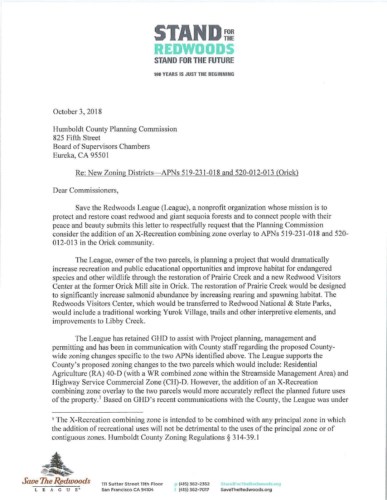

100 YEARS IS JUST THE BEGINNING

October 3, 2018

Humboldt County Planning Commission 825 Fifth Street Board of Supervisors Chambers Eureka, CA 9550 I

## Re: New Zoning Districts- APNs 519-231-018 and 520-012-013 (Orick)

Dear Commissioners,

Save the Redwoods League (League), a nonprofit organization whose mission is to protect and restore coast redwood and giant sequoia forests and to connect people with their peace and beauty submits this letter to respectfully request that the Planning Commission consider the addition of an X-Recreation combining zone overlay to APNs 519-231-018 and 520- 012-013 in the Orick community.

The League, owner of the two parcels, is planning a project that would dramatically increase recreation and public educational opportunities and improve habitat for endangered species and other wildlife through the restoration of Prairie Creek and a new Redwood Visitors Center at the former Orick Mill site in Orick. The restoration of Prairie Creek would be designed to significantly increase salmonid abundance by increasing rearing and spawning habitat. The Redwoods Visitors Center, which would be transferred to Redwood National & State Parks, would include a traditional working Yurok Village, trails and other interpretive elements, and improvements to Libby Creek.

The League has retained GHD to assist with Project planning, management and permitting and has been in communication with County staff regarding the proposed Countywide zoning changes specific to the two APNs identified above. The League supports the County's proposed zoning changes to the two parcels which would include: Residential Agriculture (RA) 40-D (with a WR combined zone within the Streamside Management Area) and Highway Service Commercial Zone (CH)-D. However, the addition of an X-Recreation combining zone overlay to the two parcels would more accurately reflect the planned future uses of the property.<sup>1</sup> Based on GHD's recent communications with the County, the League was under

<sup>1</sup> The X-Recreation combining zone is intended to be combined with any principal zone in which the addition of recreational uses will not be detrimental to the uses of the principal zone or of contiguous zones. Humboldt County Zoning Regulations § 314-39.1



p (415) 362-2352 f (415) 362-7017

StandForTheRedwoods.org SaveTheRedwoods.org